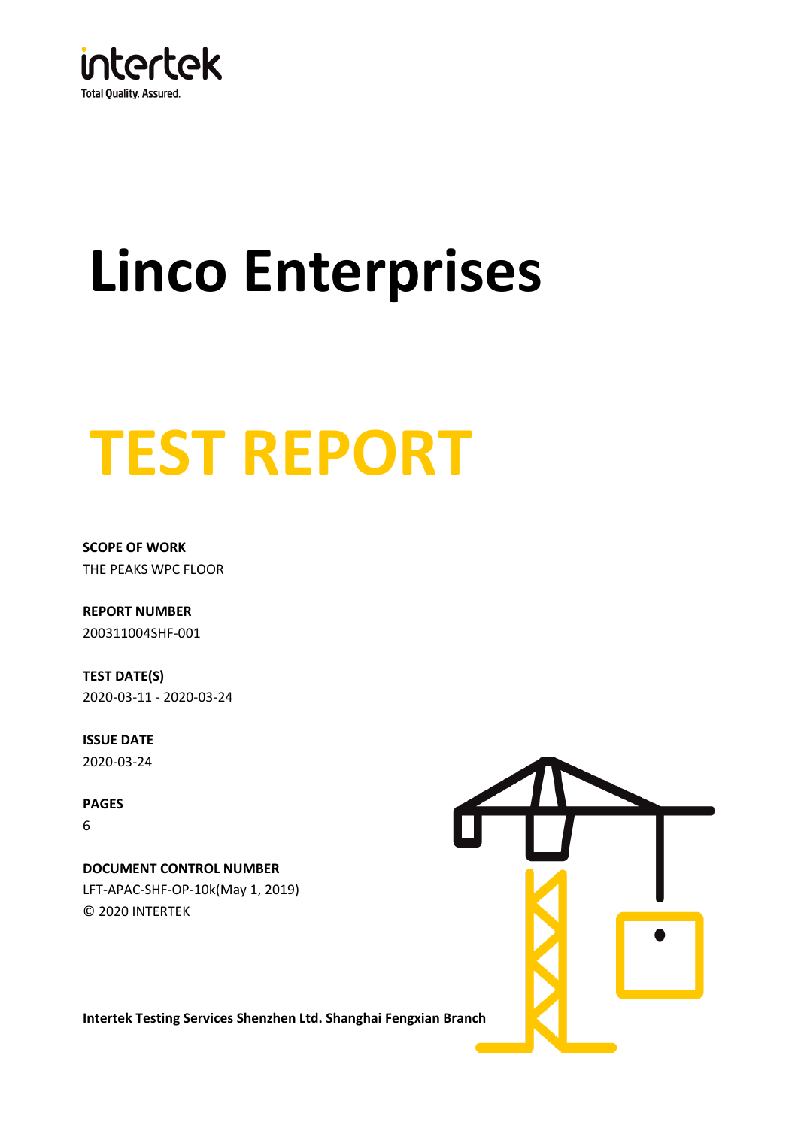

# **Linco Enterprises**

## **TEST REPORT**

**SCOPE OF WORK** THE PEAKS WPC FLOOR

200311004SHF-001 **REPORT NUMBER**

**TEST DATE(S)** 2020-03-11 - 2020-03-24

**ISSUE DATE** 2020-03-24

**PAGES** 6

© 2020 INTERTEK LFT-APAC-SHF-OP-10k(May 1, 2019) **DOCUMENT CONTROL NUMBER**



**Intertek Testing Services Shenzhen Ltd. Shanghai Fengxian Branch**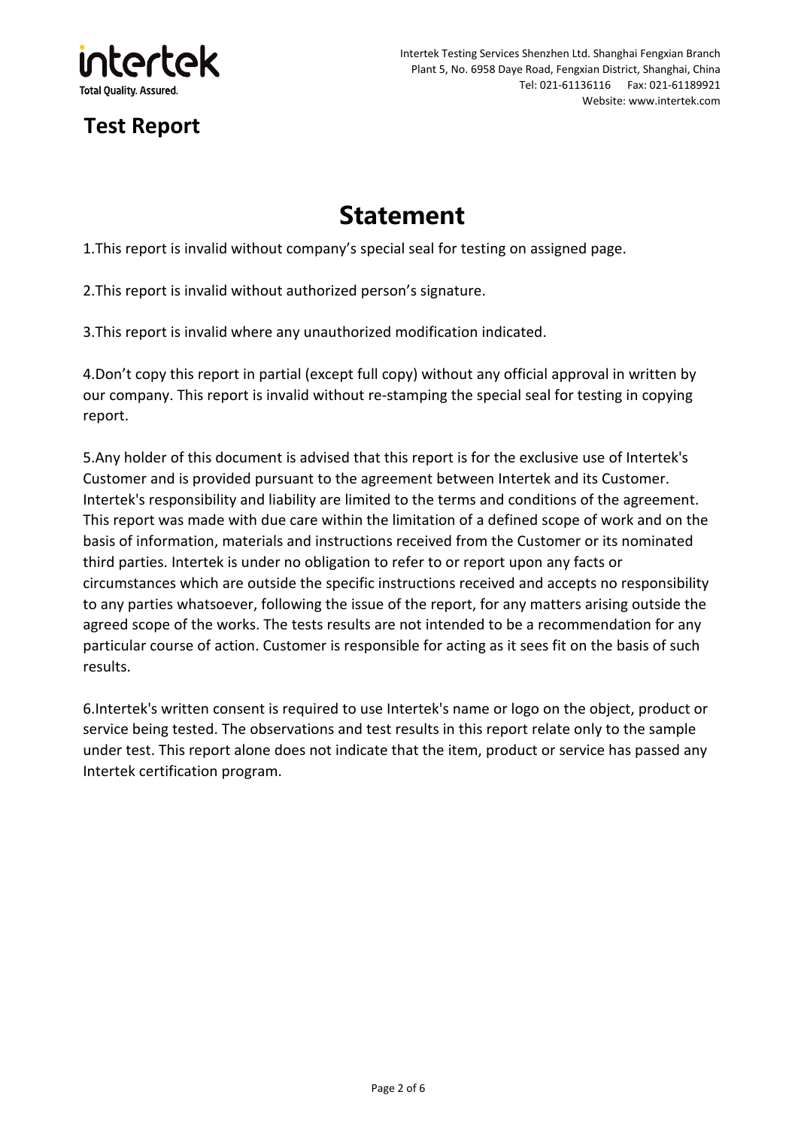

## **Statement**

1.This report is invalid without company's special seal for testing on assigned page.

2.This report is invalid without authorized person's signature.

3.This report is invalid where any unauthorized modification indicated.

4.Don't copy this report in partial (except full copy) without any official approval in written by our company. This report is invalid without re-stamping the special seal for testing in copying report.

5.Any holder of this document is advised that this report is for the exclusive use of Intertek's Customer and is provided pursuant to the agreement between Intertek and its Customer. Intertek's responsibility and liability are limited to the terms and conditions of the agreement. This report was made with due care within the limitation of a defined scope of work and on the basis of information, materials and instructions received from the Customer or its nominated third parties. Intertek is under no obligation to refer to or report upon any facts or circumstances which are outside the specific instructions received and accepts no responsibility to any parties whatsoever, following the issue of the report, for any matters arising outside the agreed scope of the works. The tests results are not intended to be a recommendation for any particular course of action. Customer is responsible for acting as it sees fit on the basis of such results.

6.Intertek's written consent is required to use Intertek's name or logo on the object, product or service being tested. The observations and test results in this report relate only to the sample under test. This report alone does not indicate that the item, product or service has passed any Intertek certification program.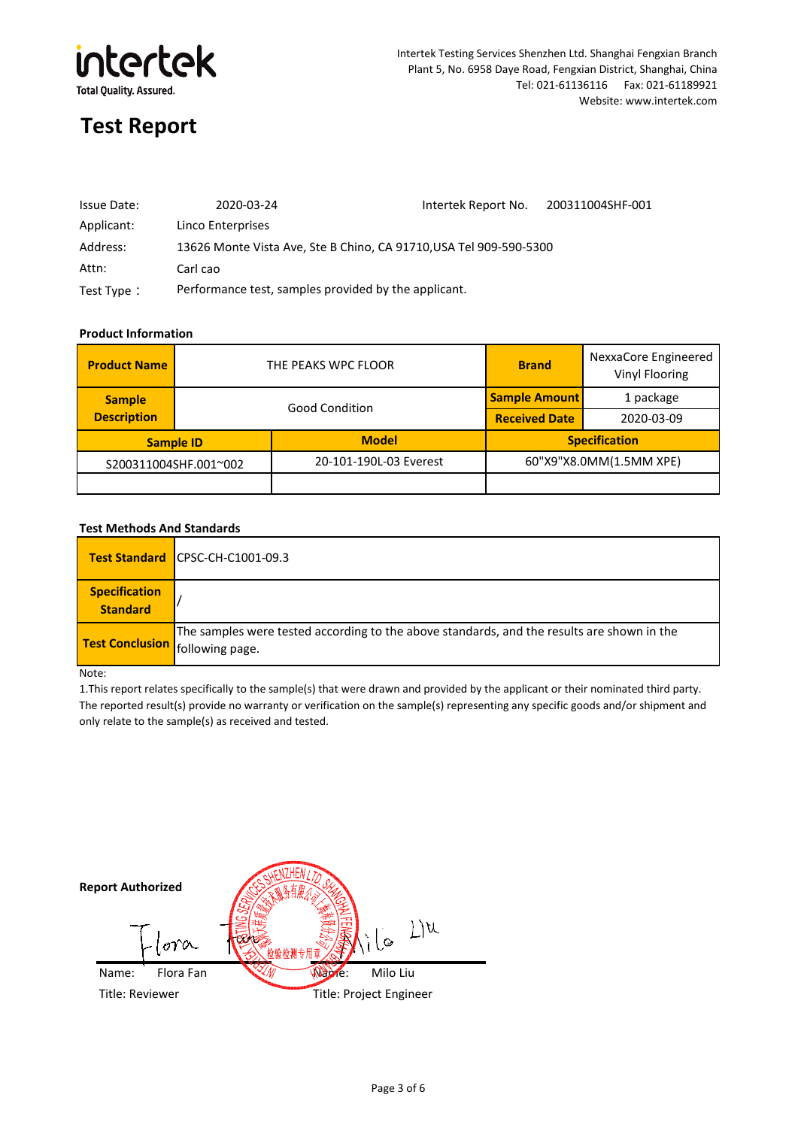

#### Intertek Testing Services Shenzhen Ltd. Shanghai Fengxian Branch Plant 5, No. 6958 Daye Road, Fengxian District, Shanghai, China Tel: 021-61136116 Fax: 021-61189921 Website: www.intertek.com

### **Test Report**

| Issue Date: | 2020-03-24                                                         | Intertek Report No. | 200311004SHF-001 |
|-------------|--------------------------------------------------------------------|---------------------|------------------|
| Applicant:  | Linco Enterprises                                                  |                     |                  |
| Address:    | 13626 Monte Vista Ave, Ste B Chino, CA 91710, USA Tel 909-590-5300 |                     |                  |
| Attn:       | Carl cao                                                           |                     |                  |
| Test Type:  | Performance test, samples provided by the applicant.               |                     |                  |

#### **Product Information**

| <b>Product Name</b>   | THE PEAKS WPC FLOOR   |                        | <b>Brand</b>            | NexxaCore Engineered<br>Vinyl Flooring |
|-----------------------|-----------------------|------------------------|-------------------------|----------------------------------------|
| <b>Sample</b>         | <b>Good Condition</b> |                        | <b>Sample Amount</b>    | 1 package                              |
| <b>Description</b>    |                       |                        | <b>Received Date</b>    | 2020-03-09                             |
| <b>Sample ID</b>      |                       | <b>Model</b>           | <b>Specification</b>    |                                        |
| S200311004SHF.001~002 |                       | 20-101-190L-03 Everest | 60"X9"X8.0MM(1.5MM XPE) |                                        |
|                       |                       |                        |                         |                                        |

#### **Test Methods And Standards**

|                                         | <b>Test Standard ICPSC-CH-C1001-09.3</b>                                                                                             |
|-----------------------------------------|--------------------------------------------------------------------------------------------------------------------------------------|
| <b>Specification</b><br><b>Standard</b> |                                                                                                                                      |
|                                         | The samples were tested according to the above standards, and the results are shown in the<br><b>Test Conclusion</b> following page. |

Note:

1.This report relates specifically to the sample(s) that were drawn and provided by the applicant or their nominated third party. The reported result(s) provide no warranty or verification on the sample(s) representing any specific goods and/or shipment and only relate to the sample(s) as received and tested.

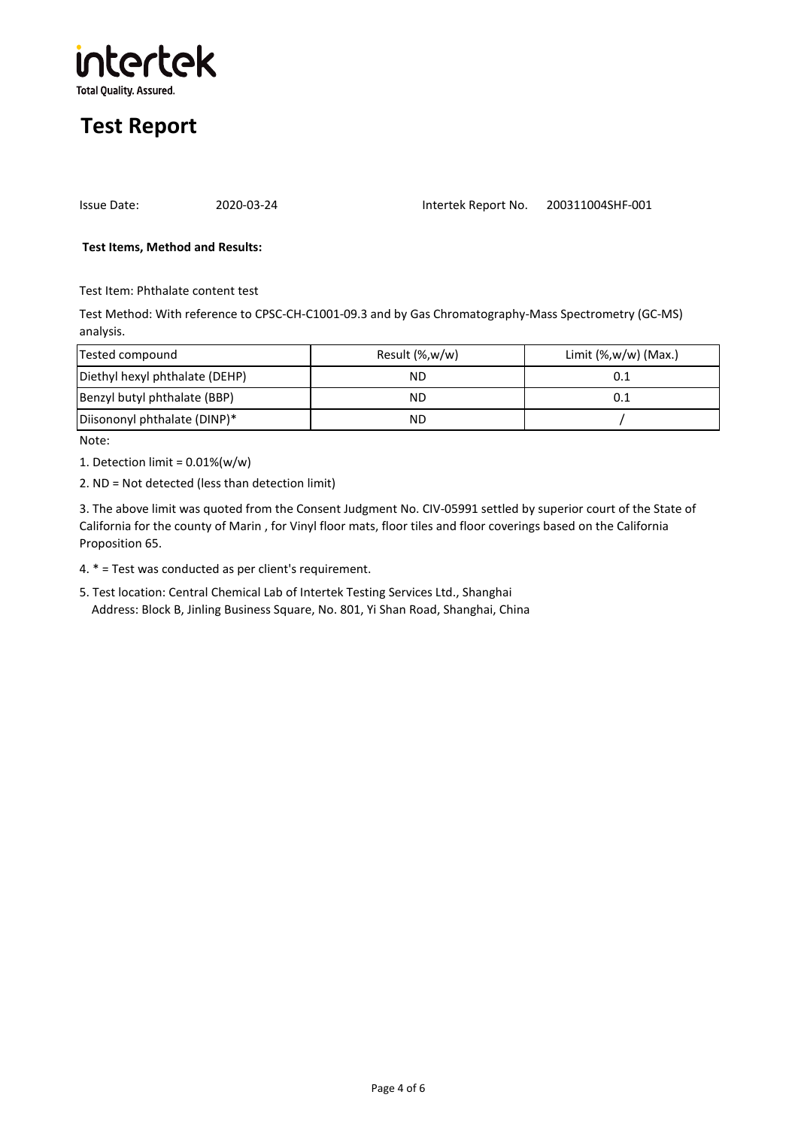

| 2020-0<br>Issue Date: |
|-----------------------|
|-----------------------|

200311004SHF-001 Intertek Report No.

#### **Test Items, Method and Results:**

Test Item: Phthalate content test

Test Method: With reference to CPSC-CH-C1001-09.3 and by Gas Chromatography-Mass Spectrometry (GC-MS) analysis.

| Tested compound                | Result $(\%$ , w/w) | Limit $(\%$ , w/w) (Max.) |
|--------------------------------|---------------------|---------------------------|
| Diethyl hexyl phthalate (DEHP) | ΝD                  |                           |
| Benzyl butyl phthalate (BBP)   | ΝD                  |                           |
| Diisononyl phthalate (DINP)*   | ΝD                  |                           |

Note:

1. Detection limit =  $0.01\%(w/w)$ 

2. ND = Not detected (less than detection limit)

3. The above limit was quoted from the Consent Judgment No. CIV-05991 settled by superior court of the State of California for the county of Marin , for Vinyl floor mats, floor tiles and floor coverings based on the California Proposition 65.

4. \* = Test was conducted as per client's requirement.

5. Test location: Central Chemical Lab of Intertek Testing Services Ltd., Shanghai Address: Block B, Jinling Business Square, No. 801, Yi Shan Road, Shanghai, China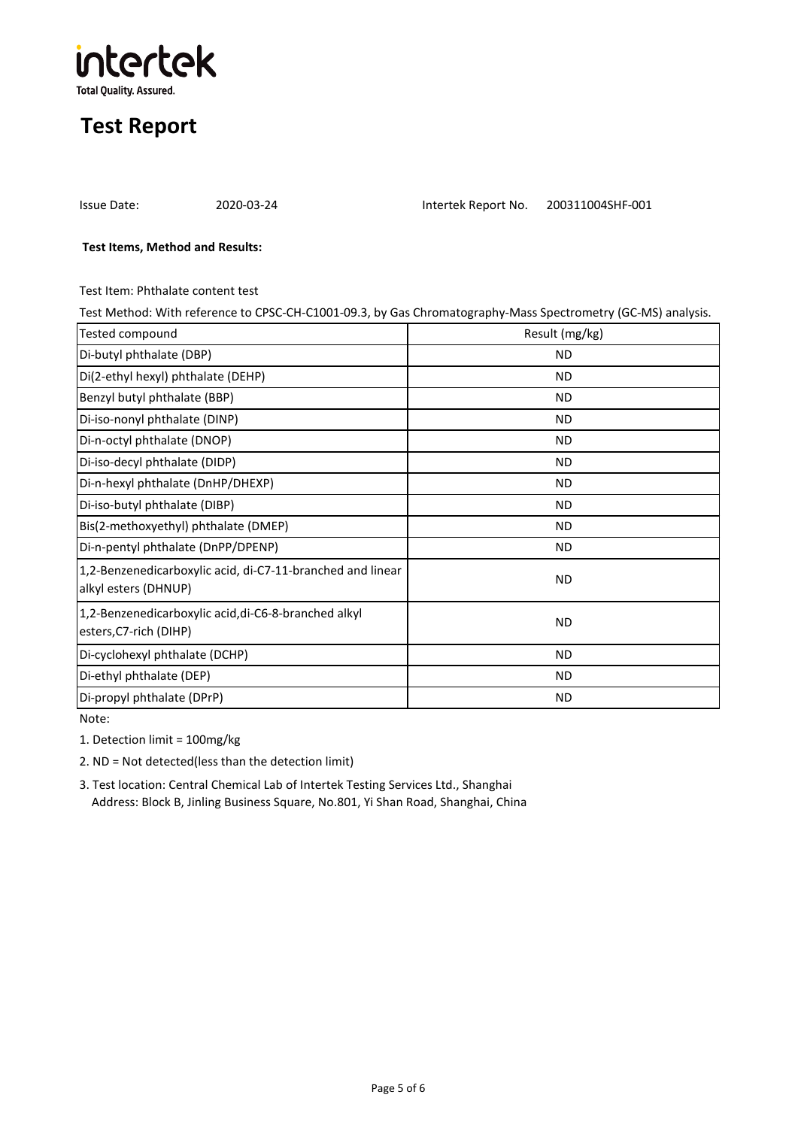

Issue Date: 2020-03-24 Intertek Report No. 200311004SHF-001

#### **Test Items, Method and Results:**

Test Item: Phthalate content test

Test Method: With reference to CPSC-CH-C1001-09.3, by Gas Chromatography-Mass Spectrometry (GC-MS) analysis.

| Tested compound                                                                    | Result (mg/kg) |
|------------------------------------------------------------------------------------|----------------|
| Di-butyl phthalate (DBP)                                                           | <b>ND</b>      |
| Di(2-ethyl hexyl) phthalate (DEHP)                                                 | <b>ND</b>      |
| Benzyl butyl phthalate (BBP)                                                       | <b>ND</b>      |
| Di-iso-nonyl phthalate (DINP)                                                      | <b>ND</b>      |
| Di-n-octyl phthalate (DNOP)                                                        | <b>ND</b>      |
| Di-iso-decyl phthalate (DIDP)                                                      | <b>ND</b>      |
| Di-n-hexyl phthalate (DnHP/DHEXP)                                                  | <b>ND</b>      |
| Di-iso-butyl phthalate (DIBP)                                                      | <b>ND</b>      |
| Bis(2-methoxyethyl) phthalate (DMEP)                                               | <b>ND</b>      |
| Di-n-pentyl phthalate (DnPP/DPENP)                                                 | <b>ND</b>      |
| 1,2-Benzenedicarboxylic acid, di-C7-11-branched and linear<br>alkyl esters (DHNUP) | ND.            |
| 1,2-Benzenedicarboxylic acid, di-C6-8-branched alkyl<br>esters, C7-rich (DIHP)     | <b>ND</b>      |
| Di-cyclohexyl phthalate (DCHP)                                                     | <b>ND</b>      |
| Di-ethyl phthalate (DEP)                                                           | <b>ND</b>      |
| Di-propyl phthalate (DPrP)                                                         | <b>ND</b>      |

Note:

1. Detection limit = 100mg/kg

2. ND = Not detected(less than the detection limit)

3. Test location: Central Chemical Lab of Intertek Testing Services Ltd., Shanghai Address: Block B, Jinling Business Square, No.801, Yi Shan Road, Shanghai, China